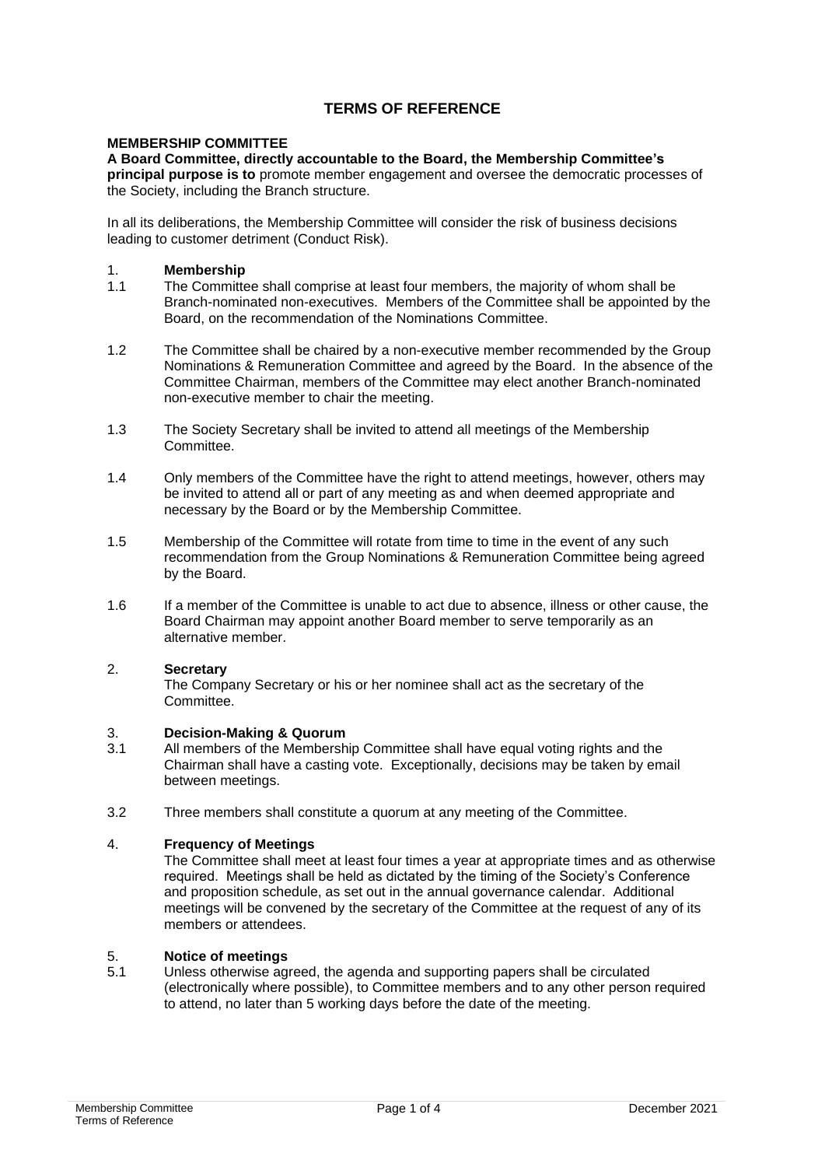## **TERMS OF REFERENCE**

#### **MEMBERSHIP COMMITTEE**

**A Board Committee, directly accountable to the Board, the Membership Committee's principal purpose is to** promote member engagement and oversee the democratic processes of the Society, including the Branch structure.

In all its deliberations, the Membership Committee will consider the risk of business decisions leading to customer detriment (Conduct Risk).

- 1. **Membership**
- The Committee shall comprise at least four members, the majority of whom shall be Branch-nominated non-executives. Members of the Committee shall be appointed by the Board, on the recommendation of the Nominations Committee.
- 1.2 The Committee shall be chaired by a non-executive member recommended by the Group Nominations & Remuneration Committee and agreed by the Board. In the absence of the Committee Chairman, members of the Committee may elect another Branch-nominated non-executive member to chair the meeting.
- 1.3 The Society Secretary shall be invited to attend all meetings of the Membership Committee.
- 1.4 Only members of the Committee have the right to attend meetings, however, others may be invited to attend all or part of any meeting as and when deemed appropriate and necessary by the Board or by the Membership Committee.
- 1.5 Membership of the Committee will rotate from time to time in the event of any such recommendation from the Group Nominations & Remuneration Committee being agreed by the Board.
- 1.6 If a member of the Committee is unable to act due to absence, illness or other cause, the Board Chairman may appoint another Board member to serve temporarily as an alternative member.

#### 2. **Secretary**

The Company Secretary or his or her nominee shall act as the secretary of the Committee.

#### 3. **Decision-Making & Quorum**

- 3.1 All members of the Membership Committee shall have equal voting rights and the Chairman shall have a casting vote. Exceptionally, decisions may be taken by email between meetings.
- 3.2 Three members shall constitute a quorum at any meeting of the Committee.

## 4. **Frequency of Meetings**

The Committee shall meet at least four times a year at appropriate times and as otherwise required. Meetings shall be held as dictated by the timing of the Society's Conference and proposition schedule, as set out in the annual governance calendar. Additional meetings will be convened by the secretary of the Committee at the request of any of its members or attendees.

# 5. **Notice of meetings**

Unless otherwise agreed, the agenda and supporting papers shall be circulated (electronically where possible), to Committee members and to any other person required to attend, no later than 5 working days before the date of the meeting.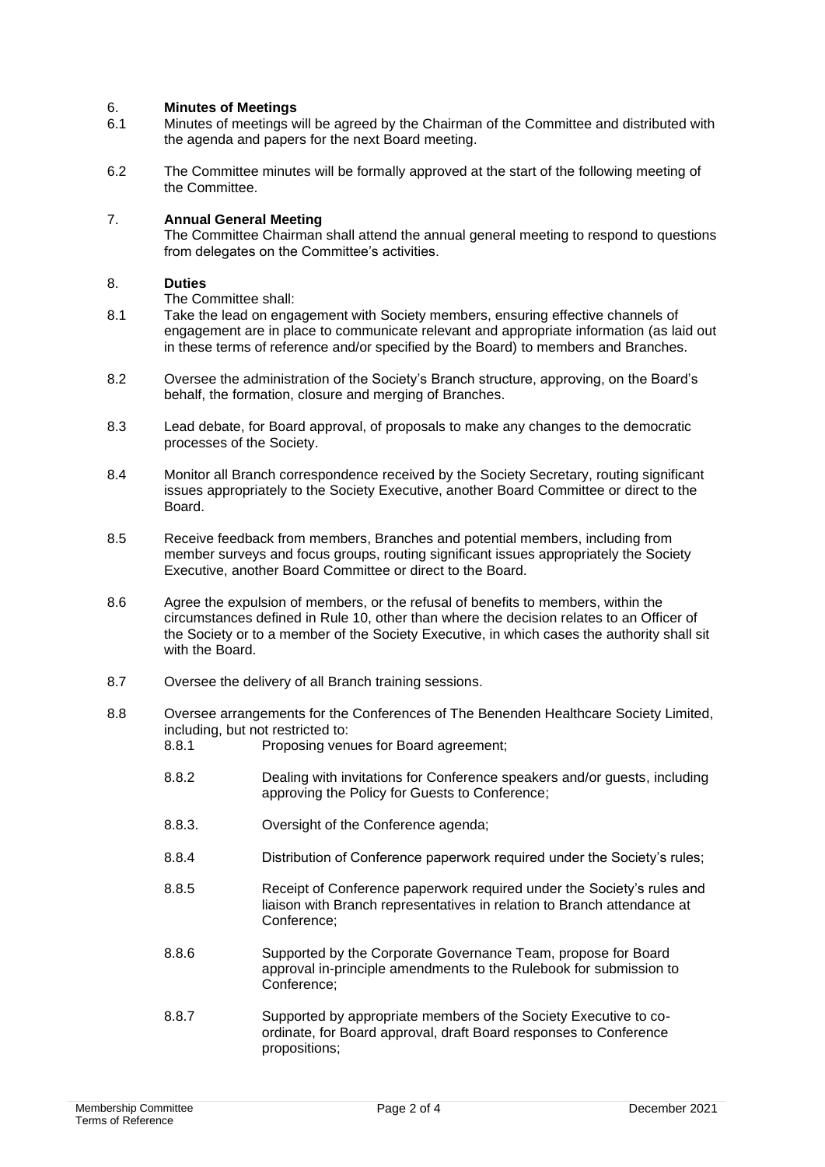#### 6. **Minutes of Meetings**

- 6.1 Minutes of meetings will be agreed by the Chairman of the Committee and distributed with the agenda and papers for the next Board meeting.
- 6.2 The Committee minutes will be formally approved at the start of the following meeting of the Committee.

## 7. **Annual General Meeting**

The Committee Chairman shall attend the annual general meeting to respond to questions from delegates on the Committee's activities.

#### 8. **Duties**

The Committee shall:

- 8.1 Take the lead on engagement with Society members, ensuring effective channels of engagement are in place to communicate relevant and appropriate information (as laid out in these terms of reference and/or specified by the Board) to members and Branches.
- 8.2 Oversee the administration of the Society's Branch structure, approving, on the Board's behalf, the formation, closure and merging of Branches.
- 8.3 Lead debate, for Board approval, of proposals to make any changes to the democratic processes of the Society.
- 8.4 Monitor all Branch correspondence received by the Society Secretary, routing significant issues appropriately to the Society Executive, another Board Committee or direct to the Board.
- 8.5 Receive feedback from members, Branches and potential members, including from member surveys and focus groups, routing significant issues appropriately the Society Executive, another Board Committee or direct to the Board.
- 8.6 Agree the expulsion of members, or the refusal of benefits to members, within the circumstances defined in Rule 10, other than where the decision relates to an Officer of the Society or to a member of the Society Executive, in which cases the authority shall sit with the Board.
- 8.7 Oversee the delivery of all Branch training sessions.
- 8.8 Oversee arrangements for the Conferences of The Benenden Healthcare Society Limited, including, but not restricted to:<br>8.8.1 Proposing ven Proposing venues for Board agreement;
	- 8.8.2 Dealing with invitations for Conference speakers and/or guests, including approving the Policy for Guests to Conference;
	- 8.8.3. Oversight of the Conference agenda;
	- 8.8.4 Distribution of Conference paperwork required under the Society's rules;
	- 8.8.5 Receipt of Conference paperwork required under the Society's rules and liaison with Branch representatives in relation to Branch attendance at Conference;
	- 8.8.6 Supported by the Corporate Governance Team, propose for Board approval in-principle amendments to the Rulebook for submission to Conference;
	- 8.8.7 Supported by appropriate members of the Society Executive to coordinate, for Board approval, draft Board responses to Conference propositions;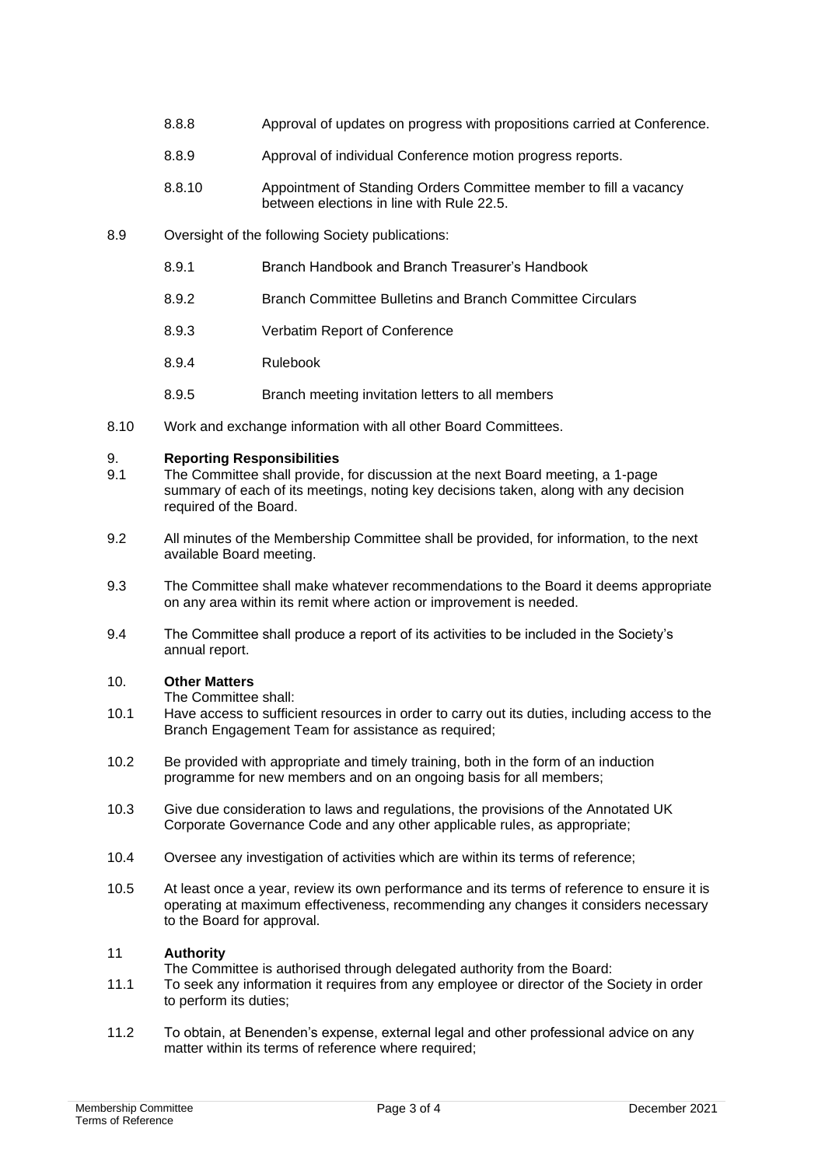- 8.8.8 Approval of updates on progress with propositions carried at Conference.
- 8.8.9 Approval of individual Conference motion progress reports.
- 8.8.10 Appointment of Standing Orders Committee member to fill a vacancy between elections in line with Rule 22.5.
- 8.9 Oversight of the following Society publications:
	- 8.9.1 Branch Handbook and Branch Treasurer's Handbook
	- 8.9.2 Branch Committee Bulletins and Branch Committee Circulars
	- 8.9.3 Verbatim Report of Conference
	- 8.9.4 Rulebook
	- 8.9.5 Branch meeting invitation letters to all members
- 8.10 Work and exchange information with all other Board Committees.

#### 9. **Reporting Responsibilities**

- 9.1 The Committee shall provide, for discussion at the next Board meeting, a 1-page summary of each of its meetings, noting key decisions taken, along with any decision required of the Board.
- 9.2 All minutes of the Membership Committee shall be provided, for information, to the next available Board meeting.
- 9.3 The Committee shall make whatever recommendations to the Board it deems appropriate on any area within its remit where action or improvement is needed.
- 9.4 The Committee shall produce a report of its activities to be included in the Society's annual report.

## 10. **Other Matters**

- The Committee shall:
- 10.1 Have access to sufficient resources in order to carry out its duties, including access to the Branch Engagement Team for assistance as required;
- 10.2 Be provided with appropriate and timely training, both in the form of an induction programme for new members and on an ongoing basis for all members;
- 10.3 Give due consideration to laws and regulations, the provisions of the Annotated UK Corporate Governance Code and any other applicable rules, as appropriate;
- 10.4 Oversee any investigation of activities which are within its terms of reference;
- 10.5 At least once a year, review its own performance and its terms of reference to ensure it is operating at maximum effectiveness, recommending any changes it considers necessary to the Board for approval.

## 11 **Authority**

- The Committee is authorised through delegated authority from the Board:
- 11.1 To seek any information it requires from any employee or director of the Society in order to perform its duties;
- 11.2 To obtain, at Benenden's expense, external legal and other professional advice on any matter within its terms of reference where required;